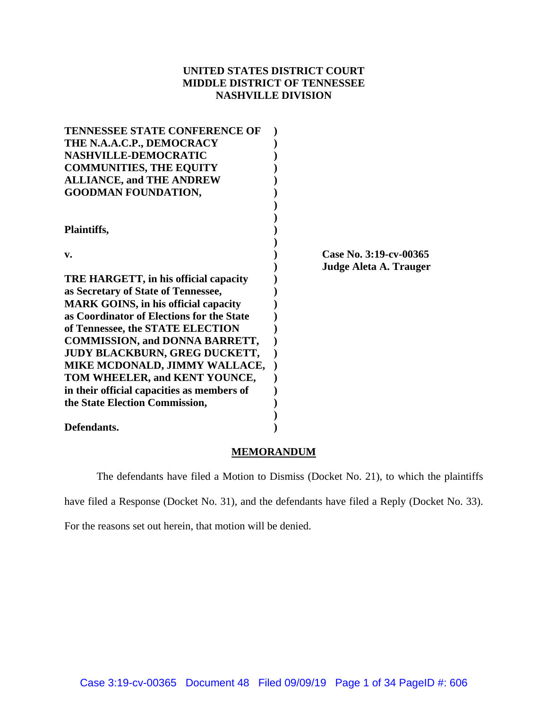# **UNITED STATES DISTRICT COURT MIDDLE DISTRICT OF TENNESSEE NASHVILLE DIVISION**

| <b>TENNESSEE STATE CONFERENCE OF</b>        |                        |
|---------------------------------------------|------------------------|
| THE N.A.A.C.P., DEMOCRACY                   |                        |
| NASHVILLE-DEMOCRATIC                        |                        |
| <b>COMMUNITIES, THE EQUITY</b>              |                        |
| <b>ALLIANCE, and THE ANDREW</b>             |                        |
| <b>GOODMAN FOUNDATION,</b>                  |                        |
|                                             |                        |
| Plaintiffs,                                 |                        |
|                                             |                        |
| v.                                          | Case No. 3:19-cv-00365 |
|                                             | Judge Aleta A. Trauger |
| TRE HARGETT, in his official capacity       |                        |
| as Secretary of State of Tennessee,         |                        |
| <b>MARK GOINS, in his official capacity</b> |                        |
| as Coordinator of Elections for the State   |                        |
| of Tennessee, the STATE ELECTION            |                        |
| <b>COMMISSION, and DONNA BARRETT,</b>       |                        |
| <b>JUDY BLACKBURN, GREG DUCKETT,</b>        |                        |
| MIKE MCDONALD, JIMMY WALLACE,               |                        |
| TOM WHEELER, and KENT YOUNCE,               |                        |
| in their official capacities as members of  |                        |
| the State Election Commission,              |                        |
|                                             |                        |
| Defendants.                                 |                        |

## **MEMORANDUM**

The defendants have filed a Motion to Dismiss (Docket No. 21), to which the plaintiffs

have filed a Response (Docket No. 31), and the defendants have filed a Reply (Docket No. 33).

For the reasons set out herein, that motion will be denied.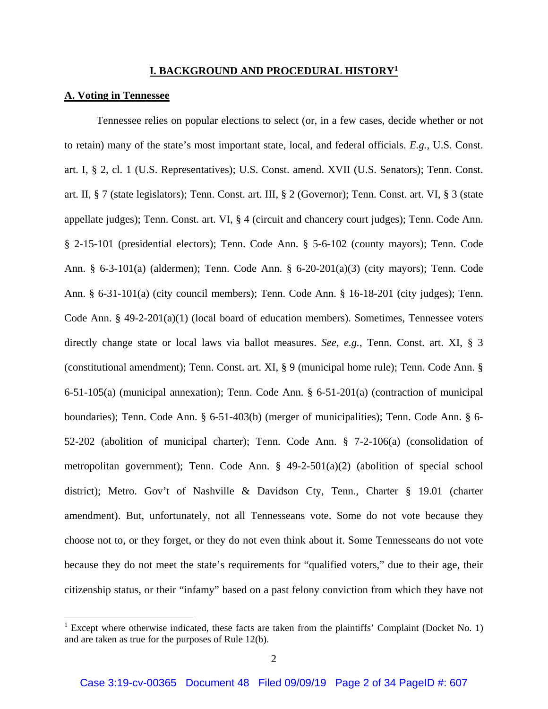## **I. BACKGROUND AND PROCEDURAL HISTORY1**

## **A. Voting in Tennessee**

 Tennessee relies on popular elections to select (or, in a few cases, decide whether or not to retain) many of the state's most important state, local, and federal officials. *E.g.*, U.S. Const. art. I, § 2, cl. 1 (U.S. Representatives); U.S. Const. amend. XVII (U.S. Senators); Tenn. Const. art. II, § 7 (state legislators); Tenn. Const. art. III, § 2 (Governor); Tenn. Const. art. VI, § 3 (state appellate judges); Tenn. Const. art. VI, § 4 (circuit and chancery court judges); Tenn. Code Ann. § 2-15-101 (presidential electors); Tenn. Code Ann. § 5-6-102 (county mayors); Tenn. Code Ann. § 6-3-101(a) (aldermen); Tenn. Code Ann. § 6-20-201(a)(3) (city mayors); Tenn. Code Ann. § 6-31-101(a) (city council members); Tenn. Code Ann. § 16-18-201 (city judges); Tenn. Code Ann. § 49-2-201(a)(1) (local board of education members). Sometimes, Tennessee voters directly change state or local laws via ballot measures. *See, e.g.*, Tenn. Const. art. XI, § 3 (constitutional amendment); Tenn. Const. art. XI, § 9 (municipal home rule); Tenn. Code Ann. § 6-51-105(a) (municipal annexation); Tenn. Code Ann. § 6-51-201(a) (contraction of municipal boundaries); Tenn. Code Ann. § 6-51-403(b) (merger of municipalities); Tenn. Code Ann. § 6- 52-202 (abolition of municipal charter); Tenn. Code Ann. § 7-2-106(a) (consolidation of metropolitan government); Tenn. Code Ann. § 49-2-501(a)(2) (abolition of special school district); Metro. Gov't of Nashville & Davidson Cty, Tenn., Charter § 19.01 (charter amendment). But, unfortunately, not all Tennesseans vote. Some do not vote because they choose not to, or they forget, or they do not even think about it. Some Tennesseans do not vote because they do not meet the state's requirements for "qualified voters," due to their age, their citizenship status, or their "infamy" based on a past felony conviction from which they have not

<sup>&</sup>lt;sup>1</sup> Except where otherwise indicated, these facts are taken from the plaintiffs' Complaint (Docket No. 1) and are taken as true for the purposes of Rule 12(b).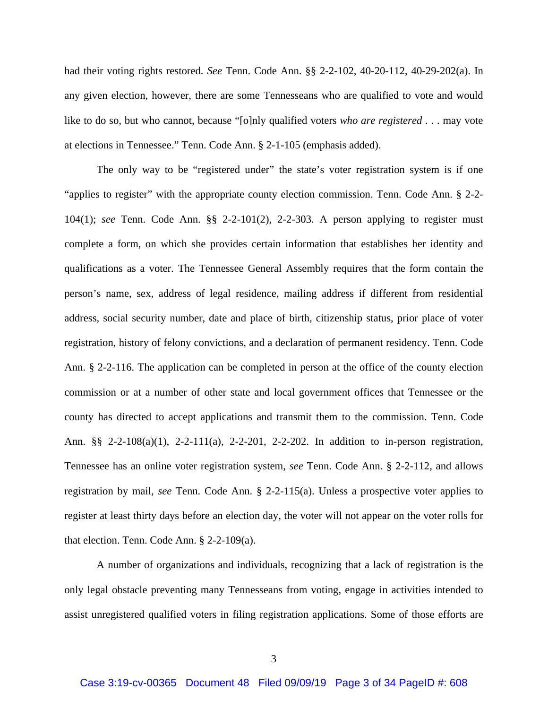had their voting rights restored. *See* Tenn. Code Ann. §§ 2-2-102, 40-20-112, 40-29-202(a). In any given election, however, there are some Tennesseans who are qualified to vote and would like to do so, but who cannot, because "[o]nly qualified voters *who are registered* . . . may vote at elections in Tennessee." Tenn. Code Ann. § 2-1-105 (emphasis added).

The only way to be "registered under" the state's voter registration system is if one "applies to register" with the appropriate county election commission. Tenn. Code Ann. § 2-2- 104(1); *see* Tenn. Code Ann. §§ 2-2-101(2), 2-2-303. A person applying to register must complete a form, on which she provides certain information that establishes her identity and qualifications as a voter. The Tennessee General Assembly requires that the form contain the person's name, sex, address of legal residence, mailing address if different from residential address, social security number, date and place of birth, citizenship status, prior place of voter registration, history of felony convictions, and a declaration of permanent residency. Tenn. Code Ann. § 2-2-116. The application can be completed in person at the office of the county election commission or at a number of other state and local government offices that Tennessee or the county has directed to accept applications and transmit them to the commission. Tenn. Code Ann. §§ 2-2-108(a)(1), 2-2-111(a), 2-2-201, 2-2-202. In addition to in-person registration, Tennessee has an online voter registration system, *see* Tenn. Code Ann. § 2-2-112, and allows registration by mail, *see* Tenn. Code Ann. § 2-2-115(a). Unless a prospective voter applies to register at least thirty days before an election day, the voter will not appear on the voter rolls for that election. Tenn. Code Ann. § 2-2-109(a).

A number of organizations and individuals, recognizing that a lack of registration is the only legal obstacle preventing many Tennesseans from voting, engage in activities intended to assist unregistered qualified voters in filing registration applications. Some of those efforts are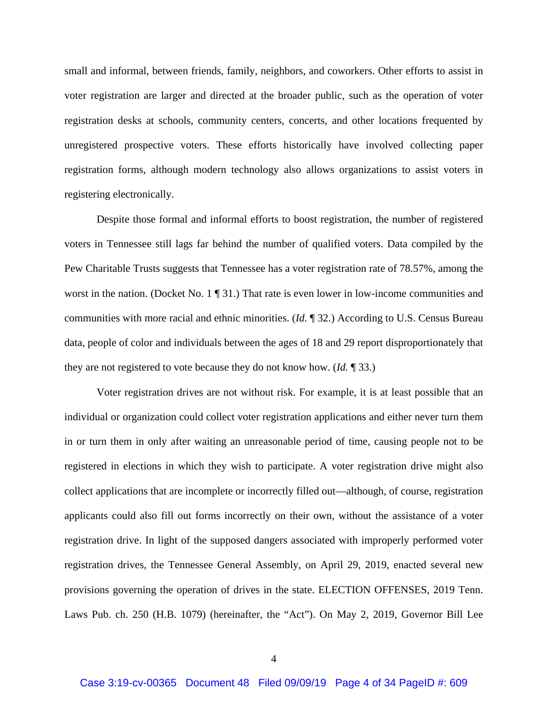small and informal, between friends, family, neighbors, and coworkers. Other efforts to assist in voter registration are larger and directed at the broader public, such as the operation of voter registration desks at schools, community centers, concerts, and other locations frequented by unregistered prospective voters. These efforts historically have involved collecting paper registration forms, although modern technology also allows organizations to assist voters in registering electronically.

Despite those formal and informal efforts to boost registration, the number of registered voters in Tennessee still lags far behind the number of qualified voters. Data compiled by the Pew Charitable Trusts suggests that Tennessee has a voter registration rate of 78.57%, among the worst in the nation. (Docket No. 1  $\P$  31.) That rate is even lower in low-income communities and communities with more racial and ethnic minorities. (*Id.* ¶ 32.) According to U.S. Census Bureau data, people of color and individuals between the ages of 18 and 29 report disproportionately that they are not registered to vote because they do not know how. (*Id.* ¶ 33.)

Voter registration drives are not without risk. For example, it is at least possible that an individual or organization could collect voter registration applications and either never turn them in or turn them in only after waiting an unreasonable period of time, causing people not to be registered in elections in which they wish to participate. A voter registration drive might also collect applications that are incomplete or incorrectly filled out—although, of course, registration applicants could also fill out forms incorrectly on their own, without the assistance of a voter registration drive. In light of the supposed dangers associated with improperly performed voter registration drives, the Tennessee General Assembly, on April 29, 2019, enacted several new provisions governing the operation of drives in the state. ELECTION OFFENSES, 2019 Tenn. Laws Pub. ch. 250 (H.B. 1079) (hereinafter, the "Act"). On May 2, 2019, Governor Bill Lee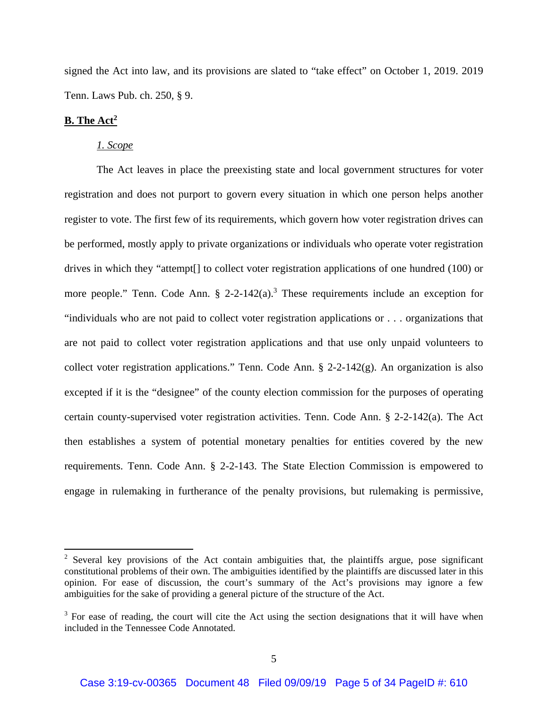signed the Act into law, and its provisions are slated to "take effect" on October 1, 2019. 2019 Tenn. Laws Pub. ch. 250, § 9.

## **B. The Act2**

## *1. Scope*

The Act leaves in place the preexisting state and local government structures for voter registration and does not purport to govern every situation in which one person helps another register to vote. The first few of its requirements, which govern how voter registration drives can be performed, mostly apply to private organizations or individuals who operate voter registration drives in which they "attempt[] to collect voter registration applications of one hundred (100) or more people." Tenn. Code Ann.  $\S$  2-2-142(a).<sup>3</sup> These requirements include an exception for "individuals who are not paid to collect voter registration applications or . . . organizations that are not paid to collect voter registration applications and that use only unpaid volunteers to collect voter registration applications." Tenn. Code Ann. § 2-2-142(g). An organization is also excepted if it is the "designee" of the county election commission for the purposes of operating certain county-supervised voter registration activities. Tenn. Code Ann. § 2-2-142(a). The Act then establishes a system of potential monetary penalties for entities covered by the new requirements. Tenn. Code Ann. § 2-2-143. The State Election Commission is empowered to engage in rulemaking in furtherance of the penalty provisions, but rulemaking is permissive,

 $2$  Several key provisions of the Act contain ambiguities that, the plaintiffs argue, pose significant constitutional problems of their own. The ambiguities identified by the plaintiffs are discussed later in this opinion. For ease of discussion, the court's summary of the Act's provisions may ignore a few ambiguities for the sake of providing a general picture of the structure of the Act.

 $3$  For ease of reading, the court will cite the Act using the section designations that it will have when included in the Tennessee Code Annotated.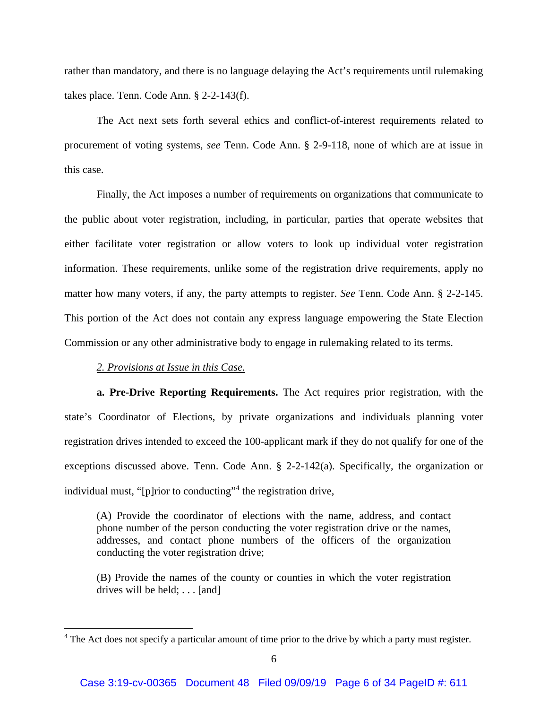rather than mandatory, and there is no language delaying the Act's requirements until rulemaking takes place. Tenn. Code Ann. § 2-2-143(f).

The Act next sets forth several ethics and conflict-of-interest requirements related to procurement of voting systems, *see* Tenn. Code Ann. § 2-9-118, none of which are at issue in this case.

Finally, the Act imposes a number of requirements on organizations that communicate to the public about voter registration, including, in particular, parties that operate websites that either facilitate voter registration or allow voters to look up individual voter registration information. These requirements, unlike some of the registration drive requirements, apply no matter how many voters, if any, the party attempts to register. *See* Tenn. Code Ann. § 2-2-145. This portion of the Act does not contain any express language empowering the State Election Commission or any other administrative body to engage in rulemaking related to its terms.

## *2. Provisions at Issue in this Case.*

 **a. Pre-Drive Reporting Requirements.** The Act requires prior registration, with the state's Coordinator of Elections, by private organizations and individuals planning voter registration drives intended to exceed the 100-applicant mark if they do not qualify for one of the exceptions discussed above. Tenn. Code Ann. § 2-2-142(a). Specifically, the organization or individual must, "[p]rior to conducting"<sup>4</sup> the registration drive,

(A) Provide the coordinator of elections with the name, address, and contact phone number of the person conducting the voter registration drive or the names, addresses, and contact phone numbers of the officers of the organization conducting the voter registration drive;

(B) Provide the names of the county or counties in which the voter registration drives will be held; . . . [and]

<sup>&</sup>lt;sup>4</sup> The Act does not specify a particular amount of time prior to the drive by which a party must register.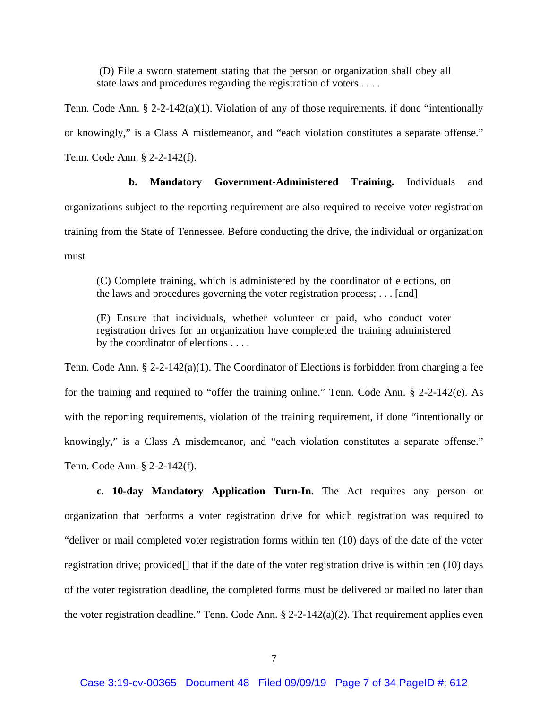(D) File a sworn statement stating that the person or organization shall obey all state laws and procedures regarding the registration of voters . . . .

Tenn. Code Ann. § 2-2-142(a)(1). Violation of any of those requirements, if done "intentionally or knowingly," is a Class A misdemeanor, and "each violation constitutes a separate offense." Tenn. Code Ann. § 2-2-142(f).

 **b. Mandatory Government-Administered Training.** Individuals and organizations subject to the reporting requirement are also required to receive voter registration training from the State of Tennessee. Before conducting the drive, the individual or organization must

(C) Complete training, which is administered by the coordinator of elections, on the laws and procedures governing the voter registration process; . . . [and]

(E) Ensure that individuals, whether volunteer or paid, who conduct voter registration drives for an organization have completed the training administered by the coordinator of elections . . . .

Tenn. Code Ann. § 2-2-142(a)(1). The Coordinator of Elections is forbidden from charging a fee for the training and required to "offer the training online." Tenn. Code Ann. § 2-2-142(e). As with the reporting requirements, violation of the training requirement, if done "intentionally or knowingly," is a Class A misdemeanor, and "each violation constitutes a separate offense." Tenn. Code Ann. § 2-2-142(f).

**c. 10-day Mandatory Application Turn-In***.* The Act requires any person or organization that performs a voter registration drive for which registration was required to "deliver or mail completed voter registration forms within ten (10) days of the date of the voter registration drive; provided[] that if the date of the voter registration drive is within ten (10) days of the voter registration deadline, the completed forms must be delivered or mailed no later than the voter registration deadline." Tenn. Code Ann.  $\S 2-2-142(a)(2)$ . That requirement applies even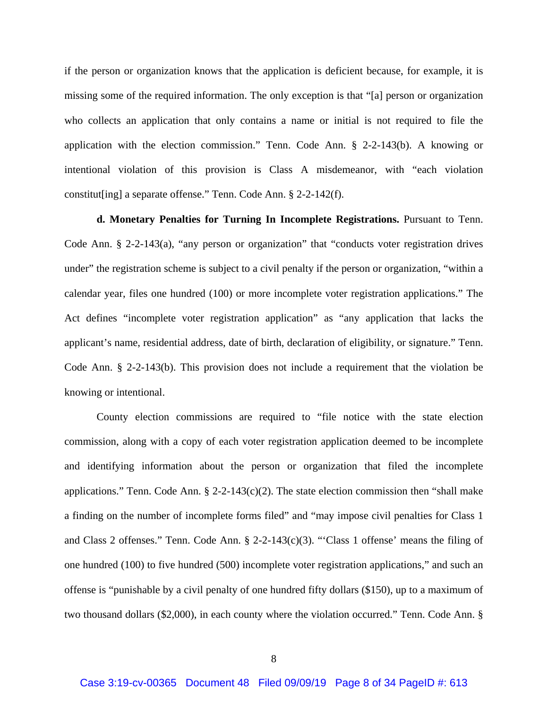if the person or organization knows that the application is deficient because, for example, it is missing some of the required information. The only exception is that "[a] person or organization who collects an application that only contains a name or initial is not required to file the application with the election commission." Tenn. Code Ann. § 2-2-143(b). A knowing or intentional violation of this provision is Class A misdemeanor, with "each violation constitut[ing] a separate offense." Tenn. Code Ann. § 2-2-142(f).

**d. Monetary Penalties for Turning In Incomplete Registrations.** Pursuant to Tenn. Code Ann. § 2-2-143(a), "any person or organization" that "conducts voter registration drives under" the registration scheme is subject to a civil penalty if the person or organization, "within a calendar year, files one hundred (100) or more incomplete voter registration applications." The Act defines "incomplete voter registration application" as "any application that lacks the applicant's name, residential address, date of birth, declaration of eligibility, or signature." Tenn. Code Ann. § 2-2-143(b). This provision does not include a requirement that the violation be knowing or intentional.

County election commissions are required to "file notice with the state election commission, along with a copy of each voter registration application deemed to be incomplete and identifying information about the person or organization that filed the incomplete applications." Tenn. Code Ann.  $\S$  2-2-143(c)(2). The state election commission then "shall make a finding on the number of incomplete forms filed" and "may impose civil penalties for Class 1 and Class 2 offenses." Tenn. Code Ann. § 2-2-143(c)(3). "'Class 1 offense' means the filing of one hundred (100) to five hundred (500) incomplete voter registration applications," and such an offense is "punishable by a civil penalty of one hundred fifty dollars (\$150), up to a maximum of two thousand dollars (\$2,000), in each county where the violation occurred." Tenn. Code Ann. §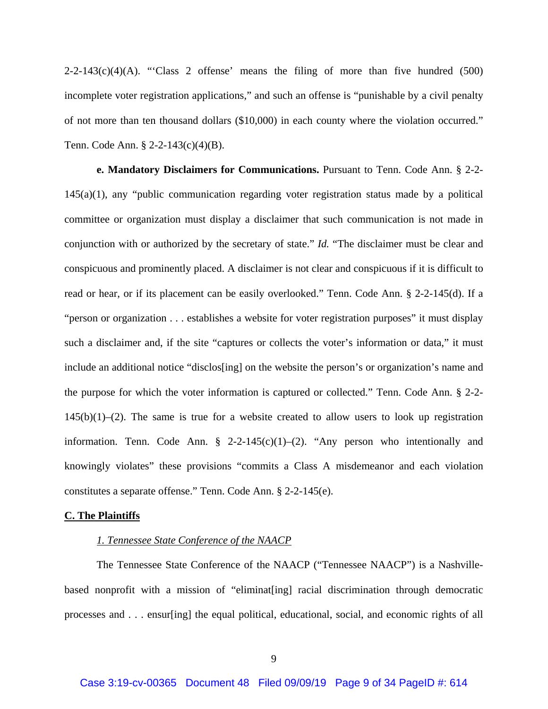$2-2-143(c)(4)(A)$ . "Class 2 offense' means the filing of more than five hundred (500) incomplete voter registration applications," and such an offense is "punishable by a civil penalty of not more than ten thousand dollars (\$10,000) in each county where the violation occurred." Tenn. Code Ann. § 2-2-143(c)(4)(B).

**e. Mandatory Disclaimers for Communications.** Pursuant to Tenn. Code Ann. § 2-2- 145(a)(1), any "public communication regarding voter registration status made by a political committee or organization must display a disclaimer that such communication is not made in conjunction with or authorized by the secretary of state." *Id.* "The disclaimer must be clear and conspicuous and prominently placed. A disclaimer is not clear and conspicuous if it is difficult to read or hear, or if its placement can be easily overlooked." Tenn. Code Ann. § 2-2-145(d). If a "person or organization . . . establishes a website for voter registration purposes" it must display such a disclaimer and, if the site "captures or collects the voter's information or data," it must include an additional notice "disclos[ing] on the website the person's or organization's name and the purpose for which the voter information is captured or collected." Tenn. Code Ann. § 2-2-  $145(b)(1)–(2)$ . The same is true for a website created to allow users to look up registration information. Tenn. Code Ann.  $\S$  2-2-145(c)(1)–(2). "Any person who intentionally and knowingly violates" these provisions "commits a Class A misdemeanor and each violation constitutes a separate offense." Tenn. Code Ann. § 2-2-145(e).

#### **C. The Plaintiffs**

## *1. Tennessee State Conference of the NAACP*

The Tennessee State Conference of the NAACP ("Tennessee NAACP") is a Nashvillebased nonprofit with a mission of "eliminat[ing] racial discrimination through democratic processes and . . . ensur[ing] the equal political, educational, social, and economic rights of all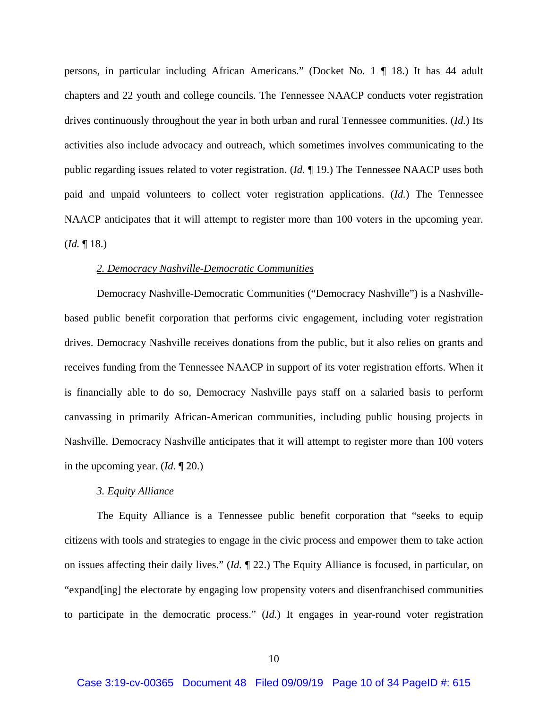persons, in particular including African Americans." (Docket No. 1 ¶ 18.) It has 44 adult chapters and 22 youth and college councils. The Tennessee NAACP conducts voter registration drives continuously throughout the year in both urban and rural Tennessee communities. (*Id.*) Its activities also include advocacy and outreach, which sometimes involves communicating to the public regarding issues related to voter registration. (*Id.* ¶ 19.) The Tennessee NAACP uses both paid and unpaid volunteers to collect voter registration applications. (*Id.*) The Tennessee NAACP anticipates that it will attempt to register more than 100 voters in the upcoming year. (*Id.* ¶ 18.)

#### *2. Democracy Nashville-Democratic Communities*

Democracy Nashville-Democratic Communities ("Democracy Nashville") is a Nashvillebased public benefit corporation that performs civic engagement, including voter registration drives. Democracy Nashville receives donations from the public, but it also relies on grants and receives funding from the Tennessee NAACP in support of its voter registration efforts. When it is financially able to do so, Democracy Nashville pays staff on a salaried basis to perform canvassing in primarily African-American communities, including public housing projects in Nashville. Democracy Nashville anticipates that it will attempt to register more than 100 voters in the upcoming year. (*Id.* ¶ 20.)

### *3. Equity Alliance*

The Equity Alliance is a Tennessee public benefit corporation that "seeks to equip citizens with tools and strategies to engage in the civic process and empower them to take action on issues affecting their daily lives." (*Id.* ¶ 22.) The Equity Alliance is focused, in particular, on "expand[ing] the electorate by engaging low propensity voters and disenfranchised communities to participate in the democratic process." (*Id.*) It engages in year-round voter registration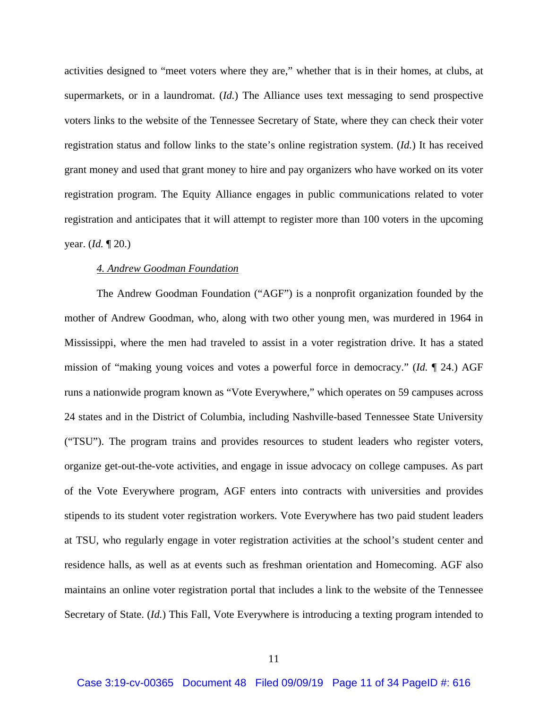activities designed to "meet voters where they are," whether that is in their homes, at clubs, at supermarkets, or in a laundromat. (*Id.*) The Alliance uses text messaging to send prospective voters links to the website of the Tennessee Secretary of State, where they can check their voter registration status and follow links to the state's online registration system. (*Id.*) It has received grant money and used that grant money to hire and pay organizers who have worked on its voter registration program. The Equity Alliance engages in public communications related to voter registration and anticipates that it will attempt to register more than 100 voters in the upcoming year. (*Id.* ¶ 20.)

## *4. Andrew Goodman Foundation*

The Andrew Goodman Foundation ("AGF") is a nonprofit organization founded by the mother of Andrew Goodman, who, along with two other young men, was murdered in 1964 in Mississippi, where the men had traveled to assist in a voter registration drive. It has a stated mission of "making young voices and votes a powerful force in democracy." (*Id.* ¶ 24.) AGF runs a nationwide program known as "Vote Everywhere," which operates on 59 campuses across 24 states and in the District of Columbia, including Nashville-based Tennessee State University ("TSU"). The program trains and provides resources to student leaders who register voters, organize get-out-the-vote activities, and engage in issue advocacy on college campuses. As part of the Vote Everywhere program, AGF enters into contracts with universities and provides stipends to its student voter registration workers. Vote Everywhere has two paid student leaders at TSU, who regularly engage in voter registration activities at the school's student center and residence halls, as well as at events such as freshman orientation and Homecoming. AGF also maintains an online voter registration portal that includes a link to the website of the Tennessee Secretary of State. (*Id.*) This Fall, Vote Everywhere is introducing a texting program intended to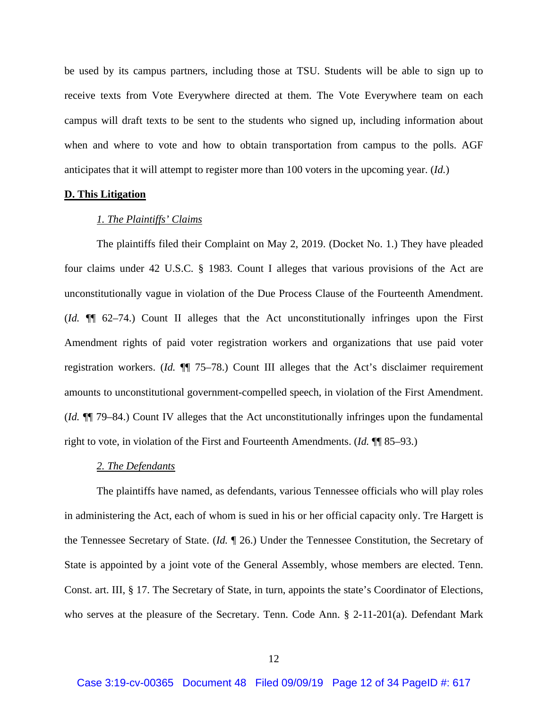be used by its campus partners, including those at TSU. Students will be able to sign up to receive texts from Vote Everywhere directed at them. The Vote Everywhere team on each campus will draft texts to be sent to the students who signed up, including information about when and where to vote and how to obtain transportation from campus to the polls. AGF anticipates that it will attempt to register more than 100 voters in the upcoming year. (*Id.*)

## **D. This Litigation**

#### *1. The Plaintiffs' Claims*

The plaintiffs filed their Complaint on May 2, 2019. (Docket No. 1.) They have pleaded four claims under 42 U.S.C. § 1983. Count I alleges that various provisions of the Act are unconstitutionally vague in violation of the Due Process Clause of the Fourteenth Amendment. (*Id.* ¶¶ 62–74.) Count II alleges that the Act unconstitutionally infringes upon the First Amendment rights of paid voter registration workers and organizations that use paid voter registration workers. (*Id.* ¶¶ 75–78.) Count III alleges that the Act's disclaimer requirement amounts to unconstitutional government-compelled speech, in violation of the First Amendment. (*Id.* ¶¶ 79–84.) Count IV alleges that the Act unconstitutionally infringes upon the fundamental right to vote, in violation of the First and Fourteenth Amendments. (*Id.* ¶¶ 85–93.)

#### *2. The Defendants*

The plaintiffs have named, as defendants, various Tennessee officials who will play roles in administering the Act, each of whom is sued in his or her official capacity only. Tre Hargett is the Tennessee Secretary of State. (*Id.* ¶ 26.) Under the Tennessee Constitution, the Secretary of State is appointed by a joint vote of the General Assembly, whose members are elected. Tenn. Const. art. III, § 17. The Secretary of State, in turn, appoints the state's Coordinator of Elections, who serves at the pleasure of the Secretary. Tenn. Code Ann. § 2-11-201(a). Defendant Mark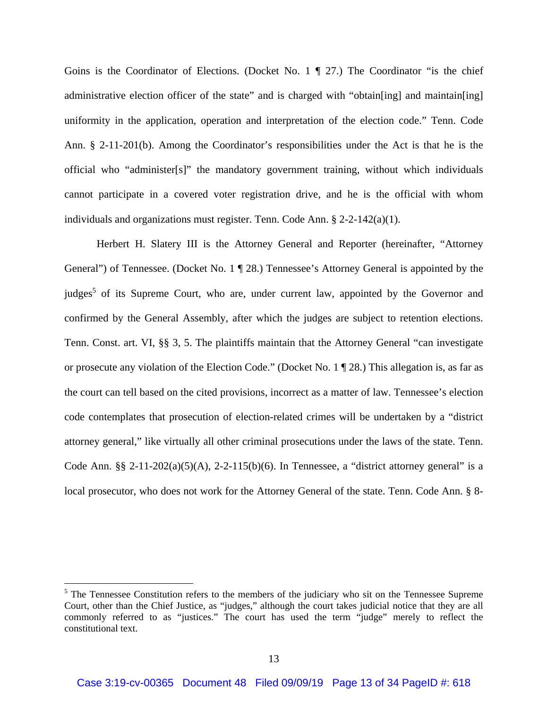Goins is the Coordinator of Elections. (Docket No. 1 ¶ 27.) The Coordinator "is the chief administrative election officer of the state" and is charged with "obtain[ing] and maintain[ing] uniformity in the application, operation and interpretation of the election code." Tenn. Code Ann. § 2-11-201(b). Among the Coordinator's responsibilities under the Act is that he is the official who "administer[s]" the mandatory government training, without which individuals cannot participate in a covered voter registration drive, and he is the official with whom individuals and organizations must register. Tenn. Code Ann.  $\S$  2-2-142(a)(1).

Herbert H. Slatery III is the Attorney General and Reporter (hereinafter, "Attorney General") of Tennessee. (Docket No. 1 ¶ 28.) Tennessee's Attorney General is appointed by the judges<sup>5</sup> of its Supreme Court, who are, under current law, appointed by the Governor and confirmed by the General Assembly, after which the judges are subject to retention elections. Tenn. Const. art. VI, §§ 3, 5. The plaintiffs maintain that the Attorney General "can investigate or prosecute any violation of the Election Code." (Docket No. 1 ¶ 28.) This allegation is, as far as the court can tell based on the cited provisions, incorrect as a matter of law. Tennessee's election code contemplates that prosecution of election-related crimes will be undertaken by a "district attorney general," like virtually all other criminal prosecutions under the laws of the state. Tenn. Code Ann. §§ 2-11-202(a)(5)(A), 2-2-115(b)(6). In Tennessee, a "district attorney general" is a local prosecutor, who does not work for the Attorney General of the state. Tenn. Code Ann. § 8-

 $<sup>5</sup>$  The Tennessee Constitution refers to the members of the judiciary who sit on the Tennessee Supreme</sup> Court, other than the Chief Justice, as "judges," although the court takes judicial notice that they are all commonly referred to as "justices." The court has used the term "judge" merely to reflect the constitutional text.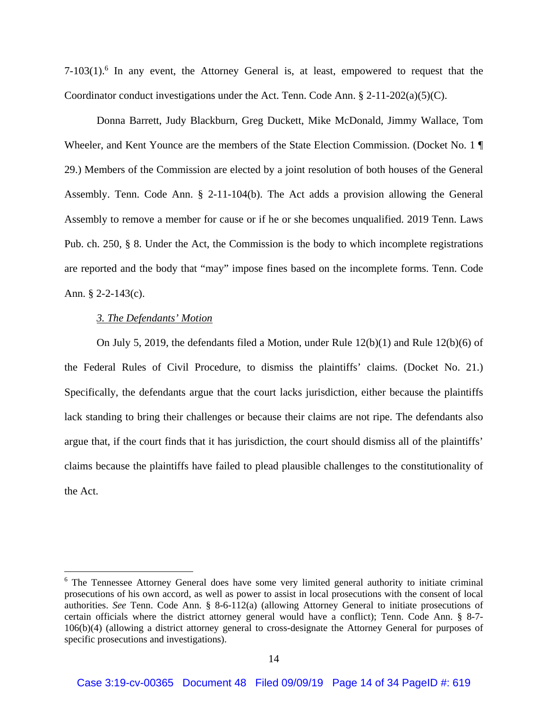$7-103(1)$ .<sup>6</sup> In any event, the Attorney General is, at least, empowered to request that the Coordinator conduct investigations under the Act. Tenn. Code Ann.  $\S 2-11-202(a)(5)(C)$ .

Donna Barrett, Judy Blackburn, Greg Duckett, Mike McDonald, Jimmy Wallace, Tom Wheeler, and Kent Younce are the members of the State Election Commission. (Docket No. 1 ¶ 29.) Members of the Commission are elected by a joint resolution of both houses of the General Assembly. Tenn. Code Ann. § 2-11-104(b). The Act adds a provision allowing the General Assembly to remove a member for cause or if he or she becomes unqualified. 2019 Tenn. Laws Pub. ch. 250, § 8. Under the Act, the Commission is the body to which incomplete registrations are reported and the body that "may" impose fines based on the incomplete forms. Tenn. Code Ann. § 2-2-143(c).

## *3. The Defendants' Motion*

On July 5, 2019, the defendants filed a Motion, under Rule 12(b)(1) and Rule 12(b)(6) of the Federal Rules of Civil Procedure, to dismiss the plaintiffs' claims. (Docket No. 21.) Specifically, the defendants argue that the court lacks jurisdiction, either because the plaintiffs lack standing to bring their challenges or because their claims are not ripe. The defendants also argue that, if the court finds that it has jurisdiction, the court should dismiss all of the plaintiffs' claims because the plaintiffs have failed to plead plausible challenges to the constitutionality of the Act.

<sup>&</sup>lt;sup>6</sup> The Tennessee Attorney General does have some very limited general authority to initiate criminal prosecutions of his own accord, as well as power to assist in local prosecutions with the consent of local authorities. *See* Tenn. Code Ann. § 8-6-112(a) (allowing Attorney General to initiate prosecutions of certain officials where the district attorney general would have a conflict); Tenn. Code Ann. § 8-7- 106(b)(4) (allowing a district attorney general to cross-designate the Attorney General for purposes of specific prosecutions and investigations).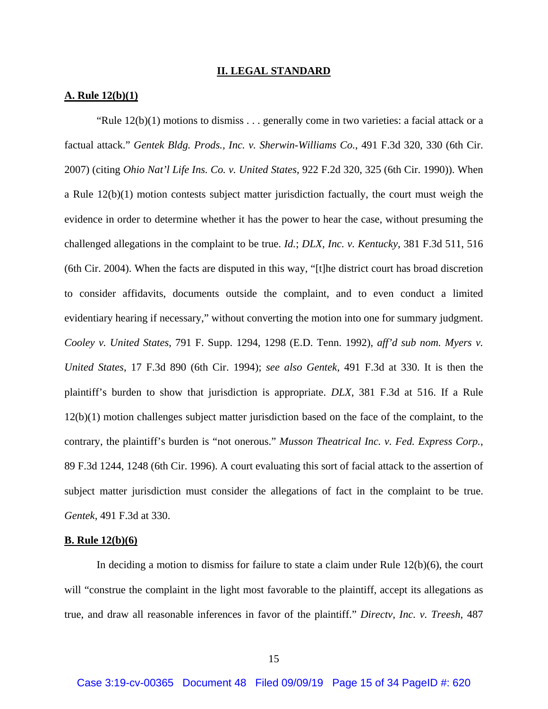#### **II. LEGAL STANDARD**

## **A. Rule 12(b)(1)**

"Rule  $12(b)(1)$  motions to dismiss . . . generally come in two varieties: a facial attack or a factual attack." *Gentek Bldg. Prods., Inc. v. Sherwin-Williams Co.*, 491 F.3d 320, 330 (6th Cir. 2007) (citing *Ohio Nat'l Life Ins. Co. v. United States*, 922 F.2d 320, 325 (6th Cir. 1990)). When a Rule 12(b)(1) motion contests subject matter jurisdiction factually, the court must weigh the evidence in order to determine whether it has the power to hear the case, without presuming the challenged allegations in the complaint to be true. *Id.*; *DLX, Inc. v. Kentucky*, 381 F.3d 511, 516 (6th Cir. 2004). When the facts are disputed in this way, "[t]he district court has broad discretion to consider affidavits, documents outside the complaint, and to even conduct a limited evidentiary hearing if necessary," without converting the motion into one for summary judgment. *Cooley v. United States*, 791 F. Supp. 1294, 1298 (E.D. Tenn. 1992), *aff'd sub nom. Myers v. United States*, 17 F.3d 890 (6th Cir. 1994); *see also Gentek*, 491 F.3d at 330. It is then the plaintiff's burden to show that jurisdiction is appropriate. *DLX*, 381 F.3d at 516. If a Rule 12(b)(1) motion challenges subject matter jurisdiction based on the face of the complaint, to the contrary, the plaintiff's burden is "not onerous." *Musson Theatrical Inc. v. Fed. Express Corp.*, 89 F.3d 1244, 1248 (6th Cir. 1996). A court evaluating this sort of facial attack to the assertion of subject matter jurisdiction must consider the allegations of fact in the complaint to be true. *Gentek*, 491 F.3d at 330.

#### **B. Rule 12(b)(6)**

In deciding a motion to dismiss for failure to state a claim under Rule 12(b)(6), the court will "construe the complaint in the light most favorable to the plaintiff, accept its allegations as true, and draw all reasonable inferences in favor of the plaintiff." *Directv, Inc. v. Treesh*, 487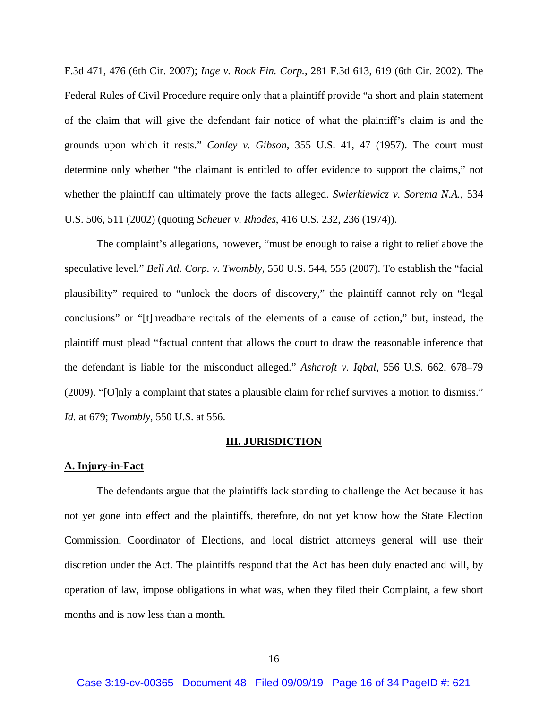F.3d 471, 476 (6th Cir. 2007); *Inge v. Rock Fin. Corp.*, 281 F.3d 613, 619 (6th Cir. 2002). The Federal Rules of Civil Procedure require only that a plaintiff provide "a short and plain statement of the claim that will give the defendant fair notice of what the plaintiff's claim is and the grounds upon which it rests." *Conley v. Gibson*, 355 U.S. 41, 47 (1957). The court must determine only whether "the claimant is entitled to offer evidence to support the claims," not whether the plaintiff can ultimately prove the facts alleged. *Swierkiewicz v. Sorema N.A.*, 534 U.S. 506, 511 (2002) (quoting *Scheuer v. Rhodes*, 416 U.S. 232, 236 (1974)).

The complaint's allegations, however, "must be enough to raise a right to relief above the speculative level." *Bell Atl. Corp. v. Twombly*, 550 U.S. 544, 555 (2007). To establish the "facial plausibility" required to "unlock the doors of discovery," the plaintiff cannot rely on "legal conclusions" or "[t]hreadbare recitals of the elements of a cause of action," but, instead, the plaintiff must plead "factual content that allows the court to draw the reasonable inference that the defendant is liable for the misconduct alleged." *Ashcroft v. Iqbal*, 556 U.S. 662, 678–79 (2009). "[O]nly a complaint that states a plausible claim for relief survives a motion to dismiss." *Id.* at 679; *Twombly*, 550 U.S. at 556.

#### **III. JURISDICTION**

#### **A. Injury-in-Fact**

The defendants argue that the plaintiffs lack standing to challenge the Act because it has not yet gone into effect and the plaintiffs, therefore, do not yet know how the State Election Commission, Coordinator of Elections, and local district attorneys general will use their discretion under the Act. The plaintiffs respond that the Act has been duly enacted and will, by operation of law, impose obligations in what was, when they filed their Complaint, a few short months and is now less than a month.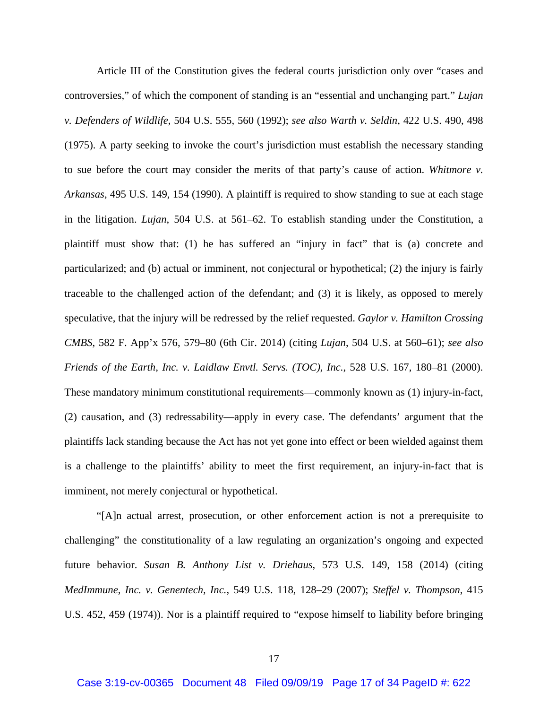Article III of the Constitution gives the federal courts jurisdiction only over "cases and controversies," of which the component of standing is an "essential and unchanging part." *Lujan v. Defenders of Wildlife*, 504 U.S. 555, 560 (1992); *see also Warth v. Seldin*, 422 U.S. 490, 498 (1975). A party seeking to invoke the court's jurisdiction must establish the necessary standing to sue before the court may consider the merits of that party's cause of action. *Whitmore v. Arkansas*, 495 U.S. 149, 154 (1990). A plaintiff is required to show standing to sue at each stage in the litigation. *Lujan*, 504 U.S. at 561–62. To establish standing under the Constitution, a plaintiff must show that: (1) he has suffered an "injury in fact" that is (a) concrete and particularized; and (b) actual or imminent, not conjectural or hypothetical; (2) the injury is fairly traceable to the challenged action of the defendant; and (3) it is likely, as opposed to merely speculative, that the injury will be redressed by the relief requested. *Gaylor v. Hamilton Crossing CMBS*, 582 F. App'x 576, 579–80 (6th Cir. 2014) (citing *Lujan*, 504 U.S. at 560–61); *see also Friends of the Earth, Inc. v. Laidlaw Envtl. Servs. (TOC), Inc.*, 528 U.S. 167, 180–81 (2000). These mandatory minimum constitutional requirements—commonly known as (1) injury-in-fact, (2) causation, and (3) redressability—apply in every case. The defendants' argument that the plaintiffs lack standing because the Act has not yet gone into effect or been wielded against them is a challenge to the plaintiffs' ability to meet the first requirement, an injury-in-fact that is imminent, not merely conjectural or hypothetical.

"[A]n actual arrest, prosecution, or other enforcement action is not a prerequisite to challenging" the constitutionality of a law regulating an organization's ongoing and expected future behavior. *Susan B. Anthony List v. Driehaus*, 573 U.S. 149, 158 (2014) (citing *MedImmune, Inc. v. Genentech, Inc.*, 549 U.S. 118, 128–29 (2007); *Steffel v. Thompson*, 415 U.S. 452, 459 (1974)). Nor is a plaintiff required to "expose himself to liability before bringing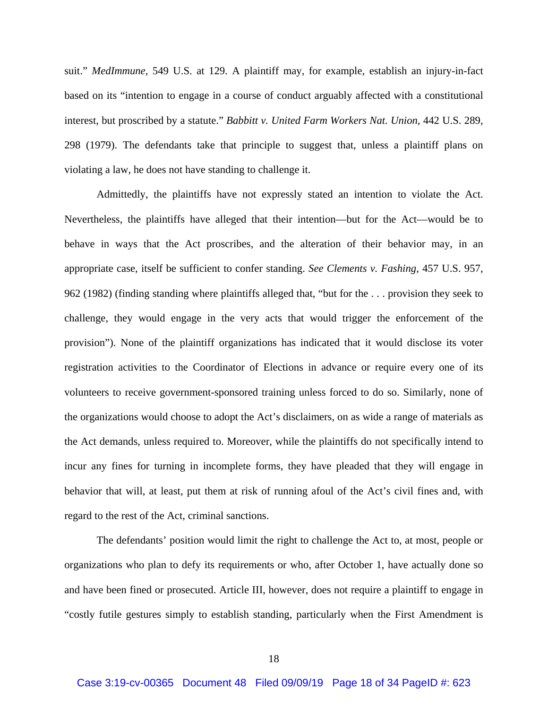suit." *MedImmune*, 549 U.S. at 129. A plaintiff may, for example, establish an injury-in-fact based on its "intention to engage in a course of conduct arguably affected with a constitutional interest, but proscribed by a statute." *Babbitt v. United Farm Workers Nat. Union*, 442 U.S. 289, 298 (1979). The defendants take that principle to suggest that, unless a plaintiff plans on violating a law, he does not have standing to challenge it.

Admittedly, the plaintiffs have not expressly stated an intention to violate the Act. Nevertheless, the plaintiffs have alleged that their intention—but for the Act—would be to behave in ways that the Act proscribes, and the alteration of their behavior may, in an appropriate case, itself be sufficient to confer standing. *See Clements v. Fashing*, 457 U.S. 957, 962 (1982) (finding standing where plaintiffs alleged that, "but for the . . . provision they seek to challenge, they would engage in the very acts that would trigger the enforcement of the provision"). None of the plaintiff organizations has indicated that it would disclose its voter registration activities to the Coordinator of Elections in advance or require every one of its volunteers to receive government-sponsored training unless forced to do so. Similarly, none of the organizations would choose to adopt the Act's disclaimers, on as wide a range of materials as the Act demands, unless required to. Moreover, while the plaintiffs do not specifically intend to incur any fines for turning in incomplete forms, they have pleaded that they will engage in behavior that will, at least, put them at risk of running afoul of the Act's civil fines and, with regard to the rest of the Act, criminal sanctions.

The defendants' position would limit the right to challenge the Act to, at most, people or organizations who plan to defy its requirements or who, after October 1, have actually done so and have been fined or prosecuted. Article III, however, does not require a plaintiff to engage in "costly futile gestures simply to establish standing, particularly when the First Amendment is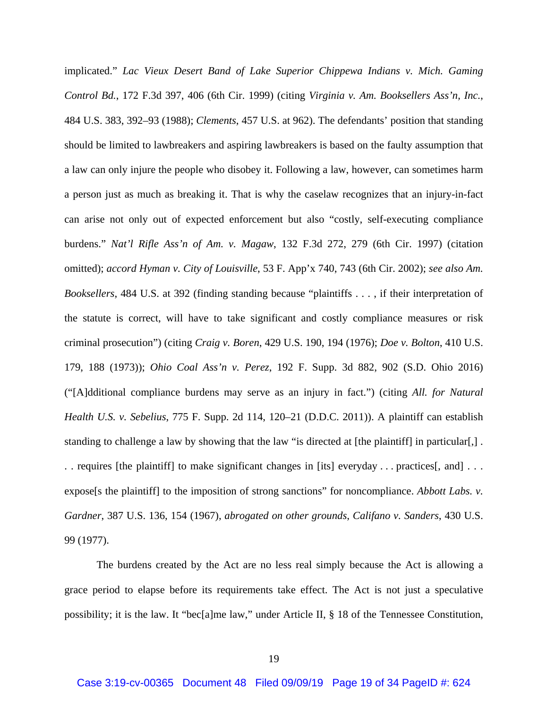implicated." *Lac Vieux Desert Band of Lake Superior Chippewa Indians v. Mich. Gaming Control Bd.*, 172 F.3d 397, 406 (6th Cir. 1999) (citing *Virginia v. Am. Booksellers Ass'n, Inc.*, 484 U.S. 383, 392–93 (1988); *Clements*, 457 U.S. at 962). The defendants' position that standing should be limited to lawbreakers and aspiring lawbreakers is based on the faulty assumption that a law can only injure the people who disobey it. Following a law, however, can sometimes harm a person just as much as breaking it. That is why the caselaw recognizes that an injury-in-fact can arise not only out of expected enforcement but also "costly, self-executing compliance burdens." *Nat'l Rifle Ass'n of Am. v. Magaw*, 132 F.3d 272, 279 (6th Cir. 1997) (citation omitted); *accord Hyman v. City of Louisville*, 53 F. App'x 740, 743 (6th Cir. 2002); *see also Am. Booksellers*, 484 U.S. at 392 (finding standing because "plaintiffs . . . , if their interpretation of the statute is correct, will have to take significant and costly compliance measures or risk criminal prosecution") (citing *Craig v. Boren*, 429 U.S. 190, 194 (1976); *Doe v. Bolton*, 410 U.S. 179, 188 (1973)); *Ohio Coal Ass'n v. Perez*, 192 F. Supp. 3d 882, 902 (S.D. Ohio 2016) ("[A]dditional compliance burdens may serve as an injury in fact.") (citing *All. for Natural Health U.S. v. Sebelius*, 775 F. Supp. 2d 114, 120–21 (D.D.C. 2011)). A plaintiff can establish standing to challenge a law by showing that the law "is directed at [the plaintiff] in particular[,]. . . requires [the plaintiff] to make significant changes in [its] everyday . . . practices[, and] . . . expose<sup>[s the plaintiff] to the imposition of strong sanctions" for noncompliance. *Abbott Labs. v.*</sup> *Gardner*, 387 U.S. 136, 154 (1967), *abrogated on other grounds*, *Califano v. Sanders*, 430 U.S. 99 (1977).

The burdens created by the Act are no less real simply because the Act is allowing a grace period to elapse before its requirements take effect. The Act is not just a speculative possibility; it is the law. It "bec[a]me law," under Article II, § 18 of the Tennessee Constitution,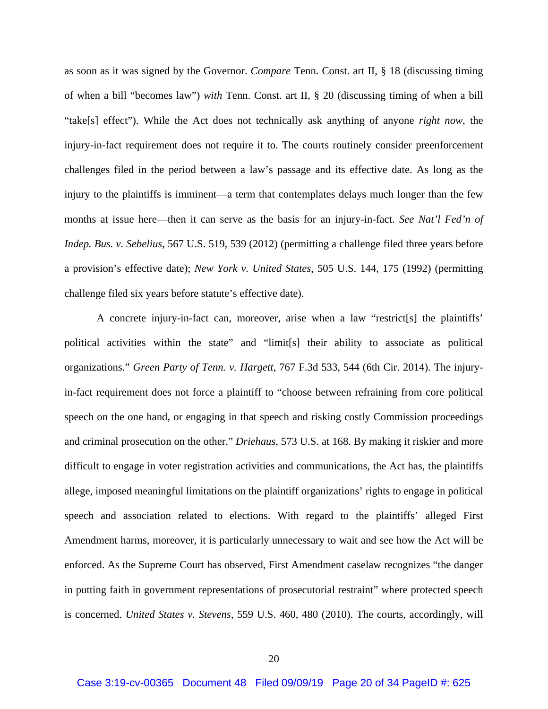as soon as it was signed by the Governor. *Compare* Tenn. Const. art II, § 18 (discussing timing of when a bill "becomes law") *with* Tenn. Const. art II, § 20 (discussing timing of when a bill "take[s] effect"). While the Act does not technically ask anything of anyone *right now*, the injury-in-fact requirement does not require it to. The courts routinely consider preenforcement challenges filed in the period between a law's passage and its effective date. As long as the injury to the plaintiffs is imminent—a term that contemplates delays much longer than the few months at issue here—then it can serve as the basis for an injury-in-fact. *See Nat'l Fed'n of Indep. Bus. v. Sebelius*, 567 U.S. 519, 539 (2012) (permitting a challenge filed three years before a provision's effective date); *New York v. United States*, 505 U.S. 144, 175 (1992) (permitting challenge filed six years before statute's effective date).

A concrete injury-in-fact can, moreover, arise when a law "restrict[s] the plaintiffs' political activities within the state" and "limit[s] their ability to associate as political organizations." *Green Party of Tenn. v. Hargett*, 767 F.3d 533, 544 (6th Cir. 2014). The injuryin-fact requirement does not force a plaintiff to "choose between refraining from core political speech on the one hand, or engaging in that speech and risking costly Commission proceedings and criminal prosecution on the other." *Driehaus*, 573 U.S. at 168. By making it riskier and more difficult to engage in voter registration activities and communications, the Act has, the plaintiffs allege, imposed meaningful limitations on the plaintiff organizations' rights to engage in political speech and association related to elections. With regard to the plaintiffs' alleged First Amendment harms, moreover, it is particularly unnecessary to wait and see how the Act will be enforced. As the Supreme Court has observed, First Amendment caselaw recognizes "the danger in putting faith in government representations of prosecutorial restraint" where protected speech is concerned. *United States v. Stevens*, 559 U.S. 460, 480 (2010). The courts, accordingly, will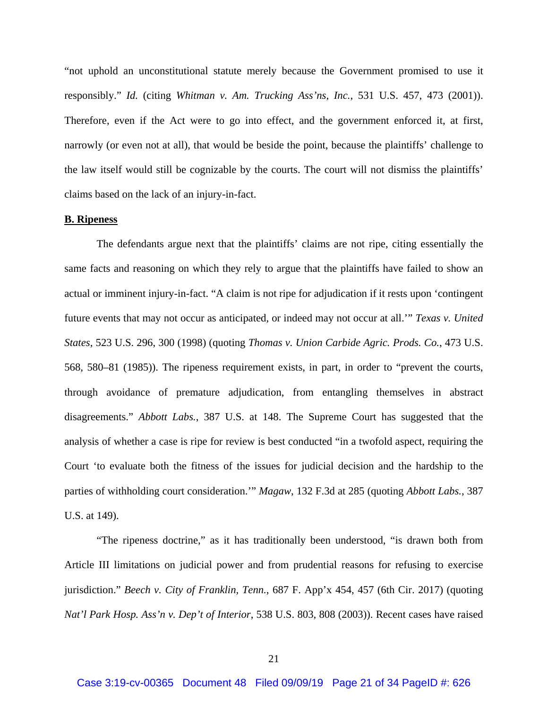"not uphold an unconstitutional statute merely because the Government promised to use it responsibly." *Id.* (citing *Whitman v. Am. Trucking Ass'ns, Inc.*, 531 U.S. 457, 473 (2001)). Therefore, even if the Act were to go into effect, and the government enforced it, at first, narrowly (or even not at all), that would be beside the point, because the plaintiffs' challenge to the law itself would still be cognizable by the courts. The court will not dismiss the plaintiffs' claims based on the lack of an injury-in-fact.

### **B. Ripeness**

The defendants argue next that the plaintiffs' claims are not ripe, citing essentially the same facts and reasoning on which they rely to argue that the plaintiffs have failed to show an actual or imminent injury-in-fact. "A claim is not ripe for adjudication if it rests upon 'contingent future events that may not occur as anticipated, or indeed may not occur at all.'" *Texas v. United States*, 523 U.S. 296, 300 (1998) (quoting *Thomas v. Union Carbide Agric. Prods. Co.*, 473 U.S. 568, 580–81 (1985)). The ripeness requirement exists, in part, in order to "prevent the courts, through avoidance of premature adjudication, from entangling themselves in abstract disagreements." *Abbott Labs.*, 387 U.S. at 148. The Supreme Court has suggested that the analysis of whether a case is ripe for review is best conducted "in a twofold aspect, requiring the Court 'to evaluate both the fitness of the issues for judicial decision and the hardship to the parties of withholding court consideration.'" *Magaw*, 132 F.3d at 285 (quoting *Abbott Labs.*, 387 U.S. at 149).

"The ripeness doctrine," as it has traditionally been understood, "is drawn both from Article III limitations on judicial power and from prudential reasons for refusing to exercise jurisdiction." *Beech v. City of Franklin, Tenn.*, 687 F. App'x 454, 457 (6th Cir. 2017) (quoting *Nat'l Park Hosp. Ass'n v. Dep't of Interior*, 538 U.S. 803, 808 (2003)). Recent cases have raised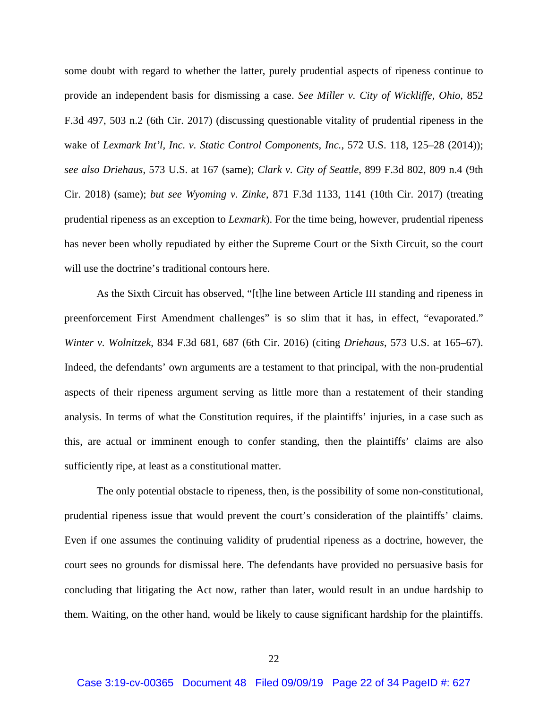some doubt with regard to whether the latter, purely prudential aspects of ripeness continue to provide an independent basis for dismissing a case. *See Miller v. City of Wickliffe, Ohio*, 852 F.3d 497, 503 n.2 (6th Cir. 2017) (discussing questionable vitality of prudential ripeness in the wake of *Lexmark Int'l, Inc. v. Static Control Components, Inc.*, 572 U.S. 118, 125–28 (2014)); *see also Driehaus*, 573 U.S. at 167 (same); *Clark v. City of Seattle*, 899 F.3d 802, 809 n.4 (9th Cir. 2018) (same); *but see Wyoming v. Zinke*, 871 F.3d 1133, 1141 (10th Cir. 2017) (treating prudential ripeness as an exception to *Lexmark*). For the time being, however, prudential ripeness has never been wholly repudiated by either the Supreme Court or the Sixth Circuit, so the court will use the doctrine's traditional contours here.

As the Sixth Circuit has observed, "[t]he line between Article III standing and ripeness in preenforcement First Amendment challenges" is so slim that it has, in effect, "evaporated." *Winter v. Wolnitzek*, 834 F.3d 681, 687 (6th Cir. 2016) (citing *Driehaus*, 573 U.S. at 165–67). Indeed, the defendants' own arguments are a testament to that principal, with the non-prudential aspects of their ripeness argument serving as little more than a restatement of their standing analysis. In terms of what the Constitution requires, if the plaintiffs' injuries, in a case such as this, are actual or imminent enough to confer standing, then the plaintiffs' claims are also sufficiently ripe, at least as a constitutional matter.

The only potential obstacle to ripeness, then, is the possibility of some non-constitutional, prudential ripeness issue that would prevent the court's consideration of the plaintiffs' claims. Even if one assumes the continuing validity of prudential ripeness as a doctrine, however, the court sees no grounds for dismissal here. The defendants have provided no persuasive basis for concluding that litigating the Act now, rather than later, would result in an undue hardship to them. Waiting, on the other hand, would be likely to cause significant hardship for the plaintiffs.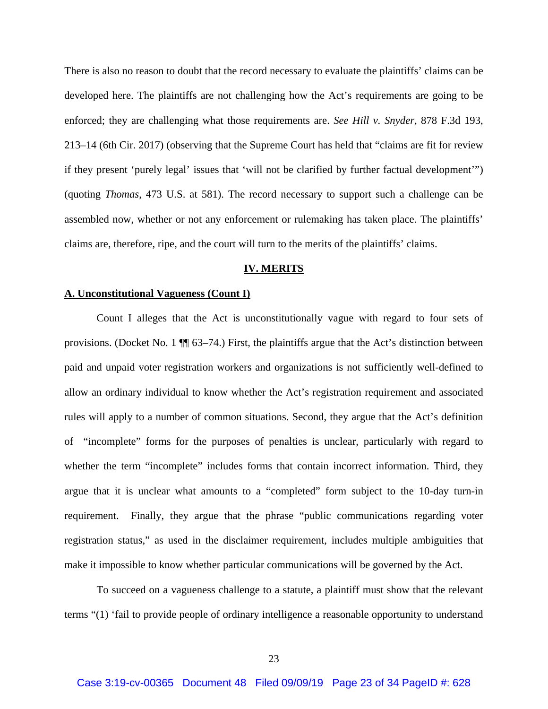There is also no reason to doubt that the record necessary to evaluate the plaintiffs' claims can be developed here. The plaintiffs are not challenging how the Act's requirements are going to be enforced; they are challenging what those requirements are. *See Hill v. Snyder*, 878 F.3d 193, 213–14 (6th Cir. 2017) (observing that the Supreme Court has held that "claims are fit for review if they present 'purely legal' issues that 'will not be clarified by further factual development'") (quoting *Thomas*, 473 U.S. at 581). The record necessary to support such a challenge can be assembled now, whether or not any enforcement or rulemaking has taken place. The plaintiffs' claims are, therefore, ripe, and the court will turn to the merits of the plaintiffs' claims.

## **IV. MERITS**

### **A. Unconstitutional Vagueness (Count I)**

Count I alleges that the Act is unconstitutionally vague with regard to four sets of provisions. (Docket No. 1 ¶¶ 63–74.) First, the plaintiffs argue that the Act's distinction between paid and unpaid voter registration workers and organizations is not sufficiently well-defined to allow an ordinary individual to know whether the Act's registration requirement and associated rules will apply to a number of common situations. Second, they argue that the Act's definition of "incomplete" forms for the purposes of penalties is unclear, particularly with regard to whether the term "incomplete" includes forms that contain incorrect information. Third, they argue that it is unclear what amounts to a "completed" form subject to the 10-day turn-in requirement. Finally, they argue that the phrase "public communications regarding voter registration status," as used in the disclaimer requirement, includes multiple ambiguities that make it impossible to know whether particular communications will be governed by the Act.

To succeed on a vagueness challenge to a statute, a plaintiff must show that the relevant terms "(1) 'fail to provide people of ordinary intelligence a reasonable opportunity to understand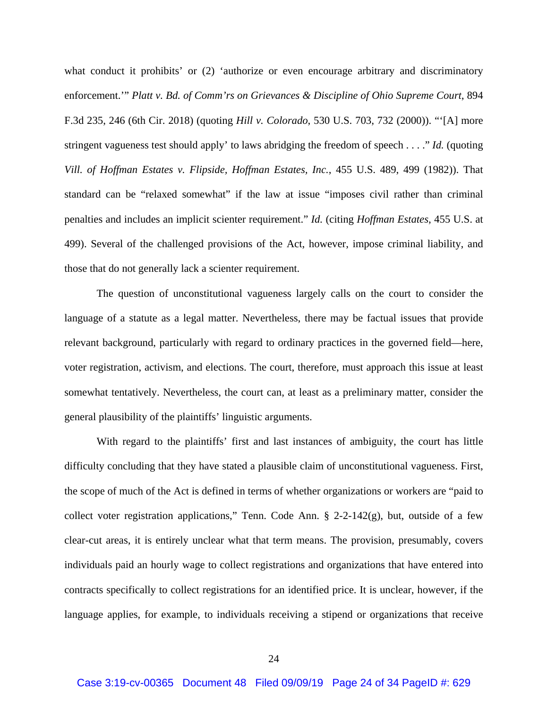what conduct it prohibits' or (2) 'authorize or even encourage arbitrary and discriminatory enforcement.'" *Platt v. Bd. of Comm'rs on Grievances & Discipline of Ohio Supreme Court*, 894 F.3d 235, 246 (6th Cir. 2018) (quoting *Hill v. Colorado*, 530 U.S. 703, 732 (2000)). "'[A] more stringent vagueness test should apply' to laws abridging the freedom of speech . . . ." *Id.* (quoting *Vill. of Hoffman Estates v. Flipside, Hoffman Estates, Inc.*, 455 U.S. 489, 499 (1982)). That standard can be "relaxed somewhat" if the law at issue "imposes civil rather than criminal penalties and includes an implicit scienter requirement." *Id.* (citing *Hoffman Estates*, 455 U.S. at 499). Several of the challenged provisions of the Act, however, impose criminal liability, and those that do not generally lack a scienter requirement.

The question of unconstitutional vagueness largely calls on the court to consider the language of a statute as a legal matter. Nevertheless, there may be factual issues that provide relevant background, particularly with regard to ordinary practices in the governed field—here, voter registration, activism, and elections. The court, therefore, must approach this issue at least somewhat tentatively. Nevertheless, the court can, at least as a preliminary matter, consider the general plausibility of the plaintiffs' linguistic arguments.

With regard to the plaintiffs' first and last instances of ambiguity, the court has little difficulty concluding that they have stated a plausible claim of unconstitutional vagueness. First, the scope of much of the Act is defined in terms of whether organizations or workers are "paid to collect voter registration applications," Tenn. Code Ann. § 2-2-142(g), but, outside of a few clear-cut areas, it is entirely unclear what that term means. The provision, presumably, covers individuals paid an hourly wage to collect registrations and organizations that have entered into contracts specifically to collect registrations for an identified price. It is unclear, however, if the language applies, for example, to individuals receiving a stipend or organizations that receive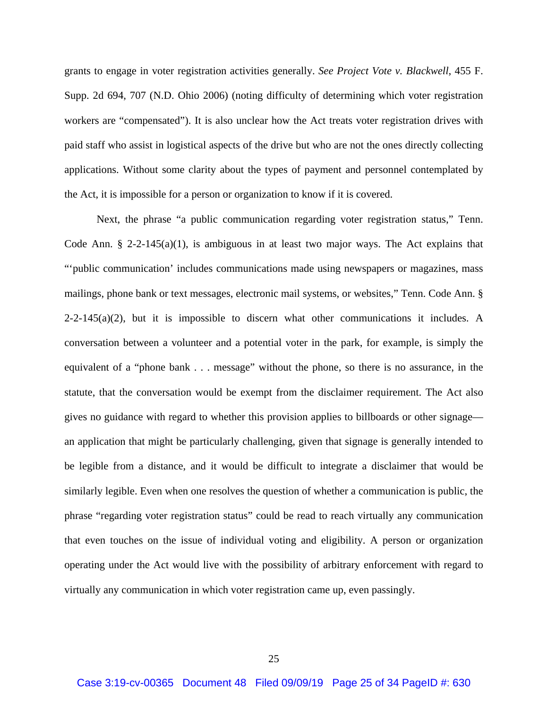grants to engage in voter registration activities generally. *See Project Vote v. Blackwell*, 455 F. Supp. 2d 694, 707 (N.D. Ohio 2006) (noting difficulty of determining which voter registration workers are "compensated"). It is also unclear how the Act treats voter registration drives with paid staff who assist in logistical aspects of the drive but who are not the ones directly collecting applications. Without some clarity about the types of payment and personnel contemplated by the Act, it is impossible for a person or organization to know if it is covered.

Next, the phrase "a public communication regarding voter registration status," Tenn. Code Ann. § 2-2-145(a)(1), is ambiguous in at least two major ways. The Act explains that "'public communication' includes communications made using newspapers or magazines, mass mailings, phone bank or text messages, electronic mail systems, or websites," Tenn. Code Ann. §  $2-2-145(a)(2)$ , but it is impossible to discern what other communications it includes. A conversation between a volunteer and a potential voter in the park, for example, is simply the equivalent of a "phone bank . . . message" without the phone, so there is no assurance, in the statute, that the conversation would be exempt from the disclaimer requirement. The Act also gives no guidance with regard to whether this provision applies to billboards or other signage an application that might be particularly challenging, given that signage is generally intended to be legible from a distance, and it would be difficult to integrate a disclaimer that would be similarly legible. Even when one resolves the question of whether a communication is public, the phrase "regarding voter registration status" could be read to reach virtually any communication that even touches on the issue of individual voting and eligibility. A person or organization operating under the Act would live with the possibility of arbitrary enforcement with regard to virtually any communication in which voter registration came up, even passingly.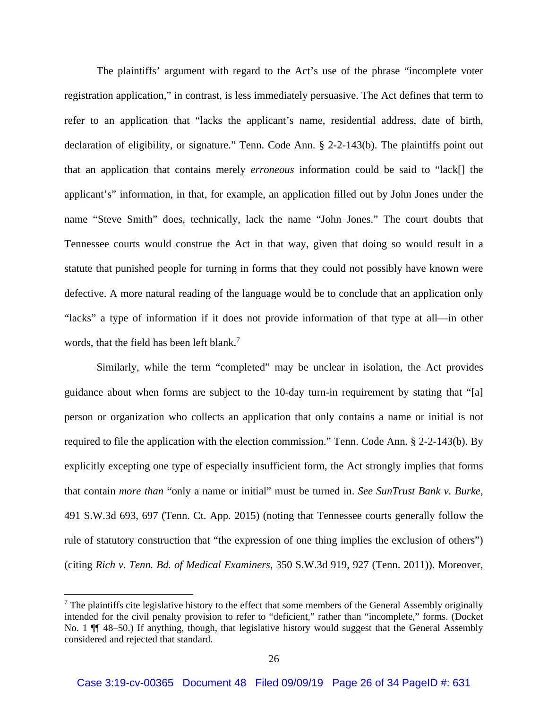The plaintiffs' argument with regard to the Act's use of the phrase "incomplete voter registration application," in contrast, is less immediately persuasive. The Act defines that term to refer to an application that "lacks the applicant's name, residential address, date of birth, declaration of eligibility, or signature." Tenn. Code Ann. § 2-2-143(b). The plaintiffs point out that an application that contains merely *erroneous* information could be said to "lack[] the applicant's" information, in that, for example, an application filled out by John Jones under the name "Steve Smith" does, technically, lack the name "John Jones." The court doubts that Tennessee courts would construe the Act in that way, given that doing so would result in a statute that punished people for turning in forms that they could not possibly have known were defective. A more natural reading of the language would be to conclude that an application only "lacks" a type of information if it does not provide information of that type at all—in other words, that the field has been left blank.<sup>7</sup>

Similarly, while the term "completed" may be unclear in isolation, the Act provides guidance about when forms are subject to the 10-day turn-in requirement by stating that "[a] person or organization who collects an application that only contains a name or initial is not required to file the application with the election commission." Tenn. Code Ann. § 2-2-143(b). By explicitly excepting one type of especially insufficient form, the Act strongly implies that forms that contain *more than* "only a name or initial" must be turned in. *See SunTrust Bank v. Burke*, 491 S.W.3d 693, 697 (Tenn. Ct. App. 2015) (noting that Tennessee courts generally follow the rule of statutory construction that "the expression of one thing implies the exclusion of others") (citing *Rich v. Tenn. Bd. of Medical Examiners*, 350 S.W.3d 919, 927 (Tenn. 2011)). Moreover,

 $7$  The plaintiffs cite legislative history to the effect that some members of the General Assembly originally intended for the civil penalty provision to refer to "deficient," rather than "incomplete," forms. (Docket No. 1 ¶¶ 48–50.) If anything, though, that legislative history would suggest that the General Assembly considered and rejected that standard.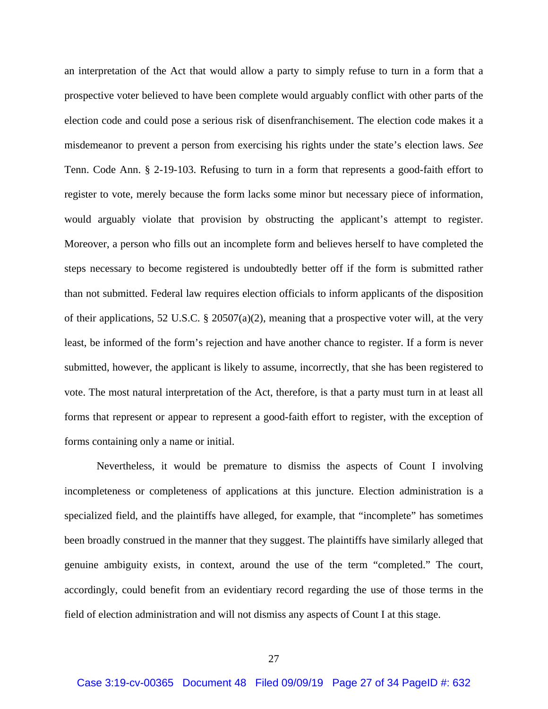an interpretation of the Act that would allow a party to simply refuse to turn in a form that a prospective voter believed to have been complete would arguably conflict with other parts of the election code and could pose a serious risk of disenfranchisement. The election code makes it a misdemeanor to prevent a person from exercising his rights under the state's election laws. *See* Tenn. Code Ann. § 2-19-103. Refusing to turn in a form that represents a good-faith effort to register to vote, merely because the form lacks some minor but necessary piece of information, would arguably violate that provision by obstructing the applicant's attempt to register. Moreover, a person who fills out an incomplete form and believes herself to have completed the steps necessary to become registered is undoubtedly better off if the form is submitted rather than not submitted. Federal law requires election officials to inform applicants of the disposition of their applications, 52 U.S.C. § 20507(a)(2), meaning that a prospective voter will, at the very least, be informed of the form's rejection and have another chance to register. If a form is never submitted, however, the applicant is likely to assume, incorrectly, that she has been registered to vote. The most natural interpretation of the Act, therefore, is that a party must turn in at least all forms that represent or appear to represent a good-faith effort to register, with the exception of forms containing only a name or initial.

Nevertheless, it would be premature to dismiss the aspects of Count I involving incompleteness or completeness of applications at this juncture. Election administration is a specialized field, and the plaintiffs have alleged, for example, that "incomplete" has sometimes been broadly construed in the manner that they suggest. The plaintiffs have similarly alleged that genuine ambiguity exists, in context, around the use of the term "completed." The court, accordingly, could benefit from an evidentiary record regarding the use of those terms in the field of election administration and will not dismiss any aspects of Count I at this stage.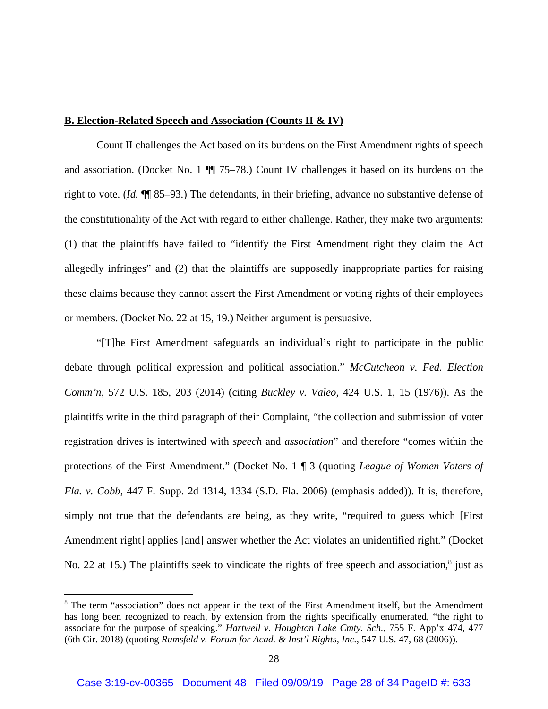## **B. Election-Related Speech and Association (Counts II & IV)**

 Count II challenges the Act based on its burdens on the First Amendment rights of speech and association. (Docket No. 1 ¶¶ 75–78.) Count IV challenges it based on its burdens on the right to vote. (*Id.* ¶¶ 85–93.) The defendants, in their briefing, advance no substantive defense of the constitutionality of the Act with regard to either challenge. Rather, they make two arguments: (1) that the plaintiffs have failed to "identify the First Amendment right they claim the Act allegedly infringes" and (2) that the plaintiffs are supposedly inappropriate parties for raising these claims because they cannot assert the First Amendment or voting rights of their employees or members. (Docket No. 22 at 15, 19.) Neither argument is persuasive.

 "[T]he First Amendment safeguards an individual's right to participate in the public debate through political expression and political association." *McCutcheon v. Fed. Election Comm'n*, 572 U.S. 185, 203 (2014) (citing *Buckley v. Valeo*, 424 U.S. 1, 15 (1976)). As the plaintiffs write in the third paragraph of their Complaint, "the collection and submission of voter registration drives is intertwined with *speech* and *association*" and therefore "comes within the protections of the First Amendment." (Docket No. 1 ¶ 3 (quoting *League of Women Voters of Fla. v. Cobb*, 447 F. Supp. 2d 1314, 1334 (S.D. Fla. 2006) (emphasis added)). It is, therefore, simply not true that the defendants are being, as they write, "required to guess which [First Amendment right] applies [and] answer whether the Act violates an unidentified right." (Docket No. 22 at 15.) The plaintiffs seek to vindicate the rights of free speech and association, $8$  just as

<sup>&</sup>lt;sup>8</sup> The term "association" does not appear in the text of the First Amendment itself, but the Amendment has long been recognized to reach, by extension from the rights specifically enumerated, "the right to associate for the purpose of speaking." *Hartwell v. Houghton Lake Cmty. Sch.*, 755 F. App'x 474, 477 (6th Cir. 2018) (quoting *Rumsfeld v. Forum for Acad. & Inst'l Rights, Inc.*, 547 U.S. 47, 68 (2006)).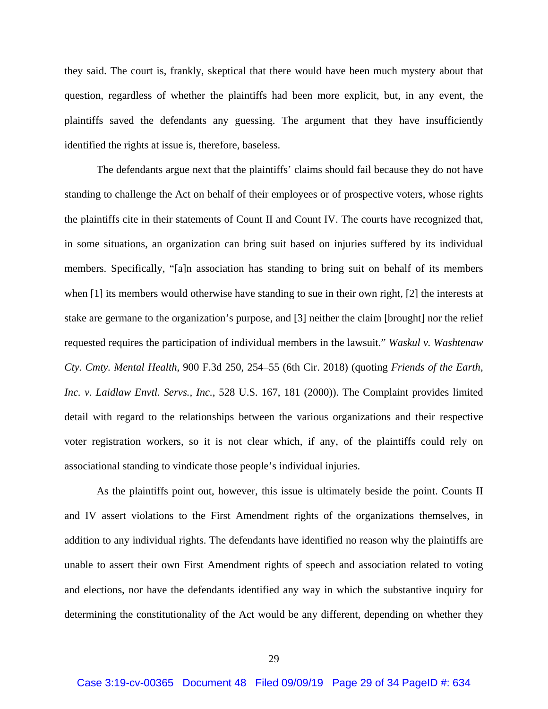they said. The court is, frankly, skeptical that there would have been much mystery about that question, regardless of whether the plaintiffs had been more explicit, but, in any event, the plaintiffs saved the defendants any guessing. The argument that they have insufficiently identified the rights at issue is, therefore, baseless.

 The defendants argue next that the plaintiffs' claims should fail because they do not have standing to challenge the Act on behalf of their employees or of prospective voters, whose rights the plaintiffs cite in their statements of Count II and Count IV. The courts have recognized that, in some situations, an organization can bring suit based on injuries suffered by its individual members. Specifically, "[a]n association has standing to bring suit on behalf of its members when [1] its members would otherwise have standing to sue in their own right, [2] the interests at stake are germane to the organization's purpose, and [3] neither the claim [brought] nor the relief requested requires the participation of individual members in the lawsuit." *Waskul v. Washtenaw Cty. Cmty. Mental Health*, 900 F.3d 250, 254–55 (6th Cir. 2018) (quoting *Friends of the Earth, Inc. v. Laidlaw Envtl. Servs., Inc.*, 528 U.S. 167, 181 (2000)). The Complaint provides limited detail with regard to the relationships between the various organizations and their respective voter registration workers, so it is not clear which, if any, of the plaintiffs could rely on associational standing to vindicate those people's individual injuries.

 As the plaintiffs point out, however, this issue is ultimately beside the point. Counts II and IV assert violations to the First Amendment rights of the organizations themselves, in addition to any individual rights. The defendants have identified no reason why the plaintiffs are unable to assert their own First Amendment rights of speech and association related to voting and elections, nor have the defendants identified any way in which the substantive inquiry for determining the constitutionality of the Act would be any different, depending on whether they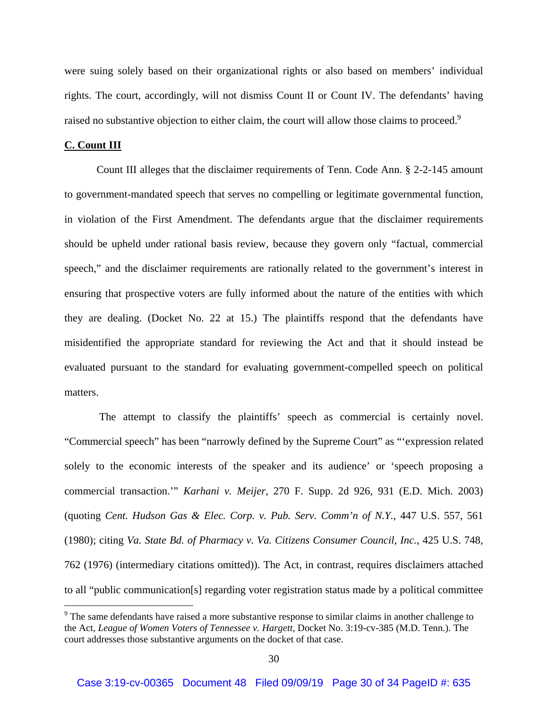were suing solely based on their organizational rights or also based on members' individual rights. The court, accordingly, will not dismiss Count II or Count IV. The defendants' having raised no substantive objection to either claim, the court will allow those claims to proceed.<sup>9</sup>

### **C. Count III**

 Count III alleges that the disclaimer requirements of Tenn. Code Ann. § 2-2-145 amount to government-mandated speech that serves no compelling or legitimate governmental function, in violation of the First Amendment. The defendants argue that the disclaimer requirements should be upheld under rational basis review, because they govern only "factual, commercial speech," and the disclaimer requirements are rationally related to the government's interest in ensuring that prospective voters are fully informed about the nature of the entities with which they are dealing. (Docket No. 22 at 15.) The plaintiffs respond that the defendants have misidentified the appropriate standard for reviewing the Act and that it should instead be evaluated pursuant to the standard for evaluating government-compelled speech on political matters.

 The attempt to classify the plaintiffs' speech as commercial is certainly novel. "Commercial speech" has been "narrowly defined by the Supreme Court" as "'expression related solely to the economic interests of the speaker and its audience' or 'speech proposing a commercial transaction.'" *Karhani v. Meijer*, 270 F. Supp. 2d 926, 931 (E.D. Mich. 2003) (quoting *Cent. Hudson Gas & Elec. Corp. v. Pub. Serv. Comm'n of N.Y.*, 447 U.S. 557, 561 (1980); citing *Va. State Bd. of Pharmacy v. Va. Citizens Consumer Council, Inc.*, 425 U.S. 748, 762 (1976) (intermediary citations omitted)). The Act, in contrast, requires disclaimers attached to all "public communication[s] regarding voter registration status made by a political committee

<sup>&</sup>lt;sup>9</sup> The same defendants have raised a more substantive response to similar claims in another challenge to the Act, *League of Women Voters of Tennessee v. Hargett*, Docket No. 3:19-cv-385 (M.D. Tenn.). The court addresses those substantive arguments on the docket of that case.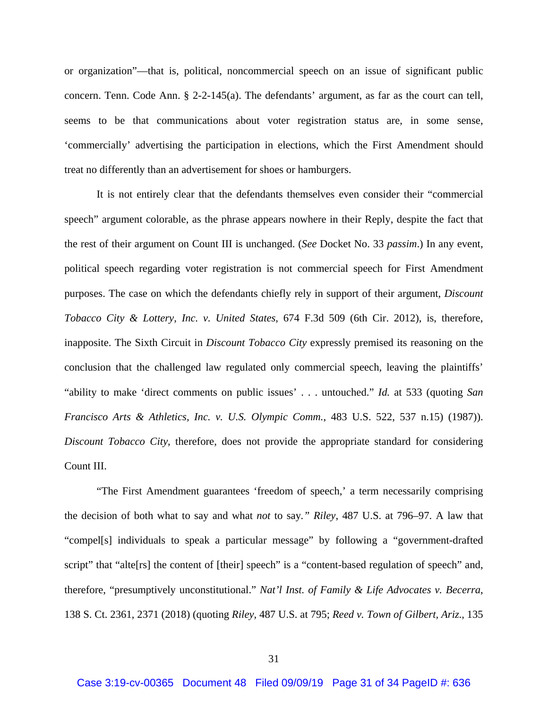or organization"—that is, political, noncommercial speech on an issue of significant public concern. Tenn. Code Ann. § 2-2-145(a). The defendants' argument, as far as the court can tell, seems to be that communications about voter registration status are, in some sense, 'commercially' advertising the participation in elections, which the First Amendment should treat no differently than an advertisement for shoes or hamburgers.

It is not entirely clear that the defendants themselves even consider their "commercial speech" argument colorable, as the phrase appears nowhere in their Reply, despite the fact that the rest of their argument on Count III is unchanged. (*See* Docket No. 33 *passim*.) In any event, political speech regarding voter registration is not commercial speech for First Amendment purposes. The case on which the defendants chiefly rely in support of their argument, *Discount Tobacco City & Lottery, Inc. v. United States*, 674 F.3d 509 (6th Cir. 2012), is, therefore, inapposite. The Sixth Circuit in *Discount Tobacco City* expressly premised its reasoning on the conclusion that the challenged law regulated only commercial speech, leaving the plaintiffs' "ability to make 'direct comments on public issues' . . . untouched." *Id.* at 533 (quoting *San Francisco Arts & Athletics, Inc. v. U.S. Olympic Comm.*, 483 U.S. 522, 537 n.15) (1987)). *Discount Tobacco City*, therefore, does not provide the appropriate standard for considering Count III.

 "The First Amendment guarantees 'freedom of speech,' a term necessarily comprising the decision of both what to say and what *not* to say*." Riley*, 487 U.S. at 796–97. A law that "compel[s] individuals to speak a particular message" by following a "government-drafted script" that "alte<sup>[rs]</sup> the content of [their] speech" is a "content-based regulation of speech" and, therefore, "presumptively unconstitutional." *Nat'l Inst. of Family & Life Advocates v. Becerra*, 138 S. Ct. 2361, 2371 (2018) (quoting *Riley*, 487 U.S. at 795; *Reed v. Town of Gilbert, Ariz*., 135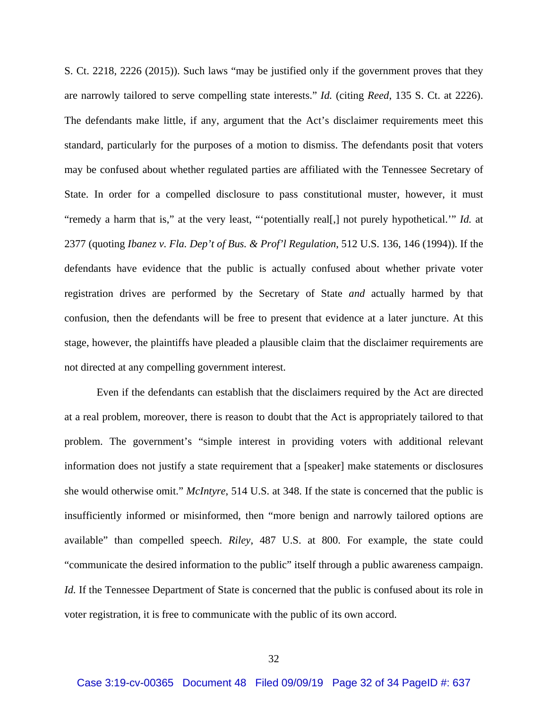S. Ct. 2218, 2226 (2015)). Such laws "may be justified only if the government proves that they are narrowly tailored to serve compelling state interests." *Id.* (citing *Reed*, 135 S. Ct. at 2226). The defendants make little, if any, argument that the Act's disclaimer requirements meet this standard, particularly for the purposes of a motion to dismiss. The defendants posit that voters may be confused about whether regulated parties are affiliated with the Tennessee Secretary of State. In order for a compelled disclosure to pass constitutional muster, however, it must "remedy a harm that is," at the very least, "'potentially real[,] not purely hypothetical.'" *Id.* at 2377 (quoting *Ibanez v. Fla. Dep't of Bus. & Prof'l Regulation*, 512 U.S. 136, 146 (1994)). If the defendants have evidence that the public is actually confused about whether private voter registration drives are performed by the Secretary of State *and* actually harmed by that confusion, then the defendants will be free to present that evidence at a later juncture. At this stage, however, the plaintiffs have pleaded a plausible claim that the disclaimer requirements are not directed at any compelling government interest.

 Even if the defendants can establish that the disclaimers required by the Act are directed at a real problem, moreover, there is reason to doubt that the Act is appropriately tailored to that problem. The government's "simple interest in providing voters with additional relevant information does not justify a state requirement that a [speaker] make statements or disclosures she would otherwise omit." *McIntyre*, 514 U.S. at 348. If the state is concerned that the public is insufficiently informed or misinformed, then "more benign and narrowly tailored options are available" than compelled speech. *Riley*, 487 U.S. at 800. For example, the state could "communicate the desired information to the public" itself through a public awareness campaign. *Id.* If the Tennessee Department of State is concerned that the public is confused about its role in voter registration, it is free to communicate with the public of its own accord.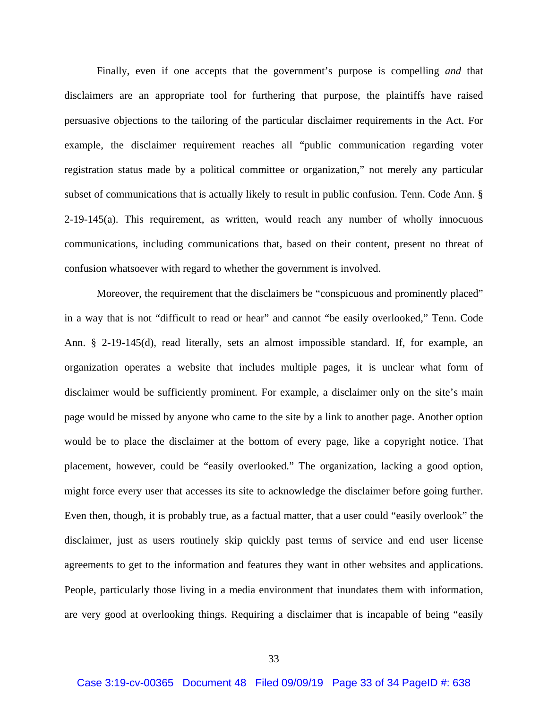Finally, even if one accepts that the government's purpose is compelling *and* that disclaimers are an appropriate tool for furthering that purpose, the plaintiffs have raised persuasive objections to the tailoring of the particular disclaimer requirements in the Act. For example, the disclaimer requirement reaches all "public communication regarding voter registration status made by a political committee or organization," not merely any particular subset of communications that is actually likely to result in public confusion. Tenn. Code Ann. §  $2-19-145(a)$ . This requirement, as written, would reach any number of wholly innocuous communications, including communications that, based on their content, present no threat of confusion whatsoever with regard to whether the government is involved.

Moreover, the requirement that the disclaimers be "conspicuous and prominently placed" in a way that is not "difficult to read or hear" and cannot "be easily overlooked," Tenn. Code Ann. § 2-19-145(d), read literally, sets an almost impossible standard. If, for example, an organization operates a website that includes multiple pages, it is unclear what form of disclaimer would be sufficiently prominent. For example, a disclaimer only on the site's main page would be missed by anyone who came to the site by a link to another page. Another option would be to place the disclaimer at the bottom of every page, like a copyright notice. That placement, however, could be "easily overlooked." The organization, lacking a good option, might force every user that accesses its site to acknowledge the disclaimer before going further. Even then, though, it is probably true, as a factual matter, that a user could "easily overlook" the disclaimer, just as users routinely skip quickly past terms of service and end user license agreements to get to the information and features they want in other websites and applications. People, particularly those living in a media environment that inundates them with information, are very good at overlooking things. Requiring a disclaimer that is incapable of being "easily